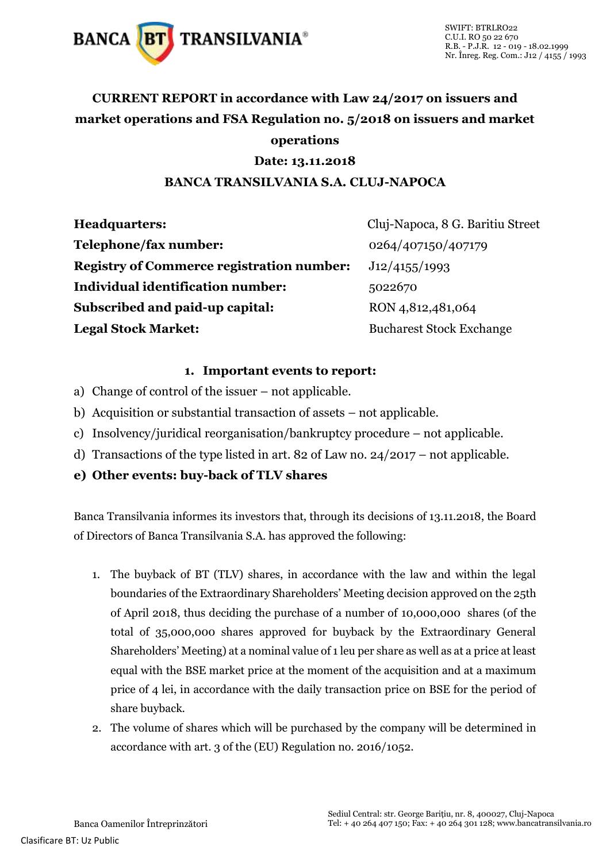

### **CURRENT REPORT in accordance with Law 24/2017 on issuers and market operations and FSA Regulation no. 5/2018 on issuers and market operations**

#### **Date: 13.11.2018**

#### **BANCA TRANSILVANIA S.A. CLUJ-NAPOCA**

| <b>Headquarters:</b>                             | Cluj-Napoca, 8 G. Baritiu Street |
|--------------------------------------------------|----------------------------------|
| Telephone/fax number:                            | 0264/407150/407179               |
| <b>Registry of Commerce registration number:</b> | J12/4155/1993                    |
| <b>Individual identification number:</b>         | 5022670                          |
| Subscribed and paid-up capital:                  | RON 4,812,481,064                |
| <b>Legal Stock Market:</b>                       | <b>Bucharest Stock Exchange</b>  |

#### **1. Important events to report:**

- a) Change of control of the issuer not applicable.
- b) Acquisition or substantial transaction of assets not applicable.
- c) Insolvency/juridical reorganisation/bankruptcy procedure not applicable.
- d) Transactions of the type listed in art. 82 of Law no. 24/2017 not applicable.
- **e) Other events: buy-back of TLV shares**

Banca Transilvania informes its investors that, through its decisions of 13.11.2018, the Board of Directors of Banca Transilvania S.A. has approved the following:

- 1. The buyback of BT (TLV) shares, in accordance with the law and within the legal boundaries of the Extraordinary Shareholders' Meeting decision approved on the 25th of April 2018, thus deciding the purchase of a number of 10,000,000 shares (of the total of 35,000,000 shares approved for buyback by the Extraordinary General Shareholders' Meeting) at a nominal value of 1 leu per share as well as at a price at least equal with the BSE market price at the moment of the acquisition and at a maximum price of 4 lei, in accordance with the daily transaction price on BSE for the period of share buyback.
- 2. The volume of shares which will be purchased by the company will be determined in accordance with art. 3 of the (EU) Regulation no. 2016/1052.